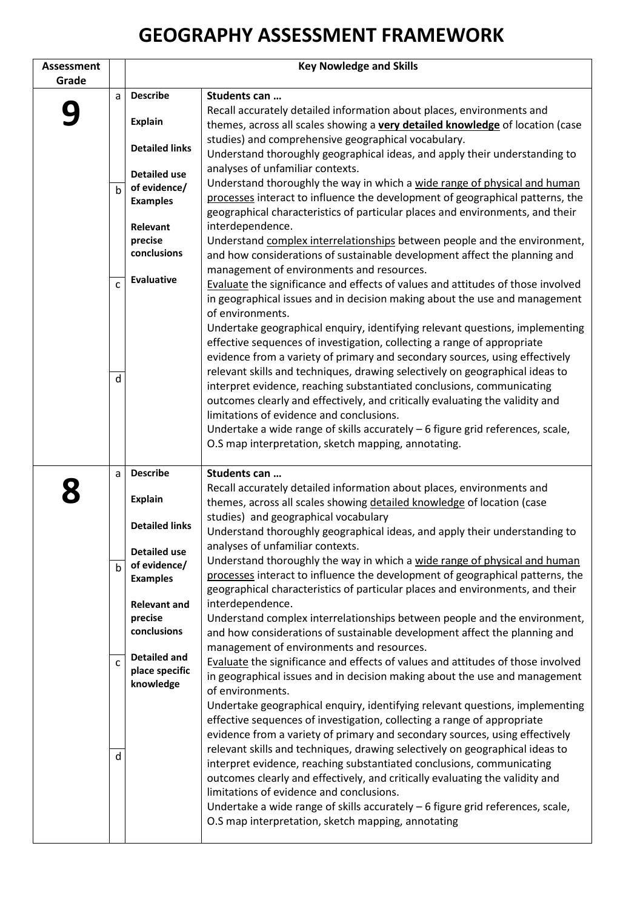## **GEOGRAPHY ASSESSMENT FRAMEWORK**

| <b>Assessment</b> |                | <b>Key Nowledge and Skills</b> |                                                                                                                                                                |
|-------------------|----------------|--------------------------------|----------------------------------------------------------------------------------------------------------------------------------------------------------------|
| Grade             |                |                                |                                                                                                                                                                |
|                   | a              | <b>Describe</b>                | Students can                                                                                                                                                   |
|                   |                | <b>Explain</b>                 | Recall accurately detailed information about places, environments and<br>themes, across all scales showing a very detailed knowledge of location (case         |
|                   |                | <b>Detailed links</b>          | studies) and comprehensive geographical vocabulary.<br>Understand thoroughly geographical ideas, and apply their understanding to                              |
|                   |                | <b>Detailed use</b>            | analyses of unfamiliar contexts.                                                                                                                               |
|                   | $\mathbf b$    | of evidence/                   | Understand thoroughly the way in which a wide range of physical and human                                                                                      |
|                   |                | <b>Examples</b>                | processes interact to influence the development of geographical patterns, the<br>geographical characteristics of particular places and environments, and their |
|                   |                | <b>Relevant</b>                | interdependence.                                                                                                                                               |
|                   |                | precise<br>conclusions         | Understand complex interrelationships between people and the environment,                                                                                      |
|                   |                |                                | and how considerations of sustainable development affect the planning and<br>management of environments and resources.                                         |
|                   | $\mathsf{C}$   | Evaluative                     | Evaluate the significance and effects of values and attitudes of those involved                                                                                |
|                   |                |                                | in geographical issues and in decision making about the use and management                                                                                     |
|                   |                |                                | of environments.                                                                                                                                               |
|                   |                |                                | Undertake geographical enquiry, identifying relevant questions, implementing                                                                                   |
|                   |                |                                | effective sequences of investigation, collecting a range of appropriate                                                                                        |
|                   |                |                                | evidence from a variety of primary and secondary sources, using effectively                                                                                    |
|                   | d              |                                | relevant skills and techniques, drawing selectively on geographical ideas to<br>interpret evidence, reaching substantiated conclusions, communicating          |
|                   |                |                                | outcomes clearly and effectively, and critically evaluating the validity and                                                                                   |
|                   |                |                                | limitations of evidence and conclusions.                                                                                                                       |
|                   |                |                                | Undertake a wide range of skills accurately $-6$ figure grid references, scale,                                                                                |
|                   |                |                                | O.S map interpretation, sketch mapping, annotating.                                                                                                            |
|                   | a              | <b>Describe</b>                | Students can                                                                                                                                                   |
|                   |                |                                | Recall accurately detailed information about places, environments and                                                                                          |
|                   |                | <b>Explain</b>                 | themes, across all scales showing detailed knowledge of location (case                                                                                         |
|                   |                | <b>Detailed links</b>          | studies) and geographical vocabulary                                                                                                                           |
|                   |                |                                | Understand thoroughly geographical ideas, and apply their understanding to                                                                                     |
|                   |                | <b>Detailed use</b>            | analyses of unfamiliar contexts.<br>Understand thoroughly the way in which a wide range of physical and human                                                  |
|                   | $\mathsf{b}$   | of evidence/                   | processes interact to influence the development of geographical patterns, the                                                                                  |
|                   |                | <b>Examples</b>                | geographical characteristics of particular places and environments, and their                                                                                  |
|                   |                | <b>Relevant and</b>            | interdependence.                                                                                                                                               |
|                   |                | precise                        | Understand complex interrelationships between people and the environment,                                                                                      |
|                   |                | conclusions                    | and how considerations of sustainable development affect the planning and                                                                                      |
|                   | $\overline{c}$ | <b>Detailed and</b>            | management of environments and resources.                                                                                                                      |
|                   |                | place specific                 | Evaluate the significance and effects of values and attitudes of those involved<br>in geographical issues and in decision making about the use and management  |
|                   |                | knowledge                      | of environments.                                                                                                                                               |
|                   |                |                                | Undertake geographical enquiry, identifying relevant questions, implementing                                                                                   |
|                   |                |                                | effective sequences of investigation, collecting a range of appropriate                                                                                        |
|                   |                |                                | evidence from a variety of primary and secondary sources, using effectively                                                                                    |
|                   | d              |                                | relevant skills and techniques, drawing selectively on geographical ideas to                                                                                   |
|                   |                |                                | interpret evidence, reaching substantiated conclusions, communicating<br>outcomes clearly and effectively, and critically evaluating the validity and          |
|                   |                |                                | limitations of evidence and conclusions.                                                                                                                       |
|                   |                |                                | Undertake a wide range of skills accurately $-6$ figure grid references, scale,                                                                                |
|                   |                |                                | O.S map interpretation, sketch mapping, annotating                                                                                                             |
|                   |                |                                |                                                                                                                                                                |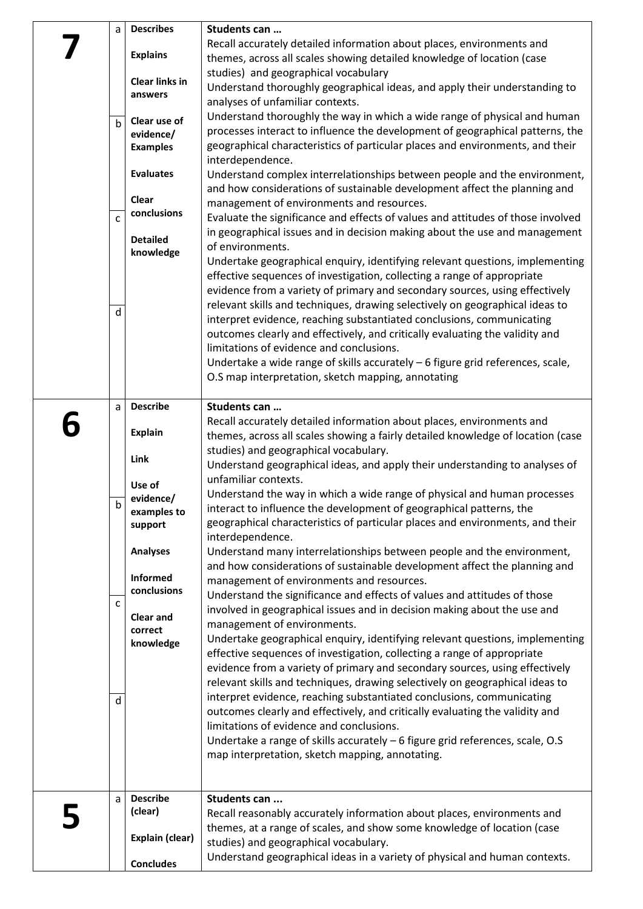| a<br>$\mathsf{h}$<br>$\mathsf{C}$<br>d | <b>Describes</b><br><b>Explains</b><br><b>Clear links in</b><br>answers<br>Clear use of<br>evidence/<br><b>Examples</b><br><b>Evaluates</b><br>Clear<br>conclusions<br><b>Detailed</b><br>knowledge | Students can<br>Recall accurately detailed information about places, environments and<br>themes, across all scales showing detailed knowledge of location (case<br>studies) and geographical vocabulary<br>Understand thoroughly geographical ideas, and apply their understanding to<br>analyses of unfamiliar contexts.<br>Understand thoroughly the way in which a wide range of physical and human<br>processes interact to influence the development of geographical patterns, the<br>geographical characteristics of particular places and environments, and their<br>interdependence.<br>Understand complex interrelationships between people and the environment,<br>and how considerations of sustainable development affect the planning and<br>management of environments and resources.<br>Evaluate the significance and effects of values and attitudes of those involved<br>in geographical issues and in decision making about the use and management<br>of environments.<br>Undertake geographical enquiry, identifying relevant questions, implementing<br>effective sequences of investigation, collecting a range of appropriate<br>evidence from a variety of primary and secondary sources, using effectively<br>relevant skills and techniques, drawing selectively on geographical ideas to<br>interpret evidence, reaching substantiated conclusions, communicating<br>outcomes clearly and effectively, and critically evaluating the validity and<br>limitations of evidence and conclusions.<br>Undertake a wide range of skills accurately - 6 figure grid references, scale,<br>O.S map interpretation, sketch mapping, annotating |
|----------------------------------------|-----------------------------------------------------------------------------------------------------------------------------------------------------------------------------------------------------|-----------------------------------------------------------------------------------------------------------------------------------------------------------------------------------------------------------------------------------------------------------------------------------------------------------------------------------------------------------------------------------------------------------------------------------------------------------------------------------------------------------------------------------------------------------------------------------------------------------------------------------------------------------------------------------------------------------------------------------------------------------------------------------------------------------------------------------------------------------------------------------------------------------------------------------------------------------------------------------------------------------------------------------------------------------------------------------------------------------------------------------------------------------------------------------------------------------------------------------------------------------------------------------------------------------------------------------------------------------------------------------------------------------------------------------------------------------------------------------------------------------------------------------------------------------------------------------------------------------------------------------------------------------------|
| a<br>Ŋ<br>$\mathsf{C}$<br>d            | <b>Describe</b><br><b>Explain</b><br>Link<br>Use of<br>evidence/<br>examples to<br>support<br><b>Analyses</b><br>Informed<br>conclusions<br><b>Clear and</b><br>correct<br>knowledge                | Students can<br>Recall accurately detailed information about places, environments and<br>themes, across all scales showing a fairly detailed knowledge of location (case<br>studies) and geographical vocabulary.<br>Understand geographical ideas, and apply their understanding to analyses of<br>unfamiliar contexts.<br>Understand the way in which a wide range of physical and human processes<br>interact to influence the development of geographical patterns, the<br>geographical characteristics of particular places and environments, and their<br>interdependence.<br>Understand many interrelationships between people and the environment,<br>and how considerations of sustainable development affect the planning and<br>management of environments and resources.<br>Understand the significance and effects of values and attitudes of those<br>involved in geographical issues and in decision making about the use and<br>management of environments.<br>Undertake geographical enquiry, identifying relevant questions, implementing<br>effective sequences of investigation, collecting a range of appropriate<br>evidence from a variety of primary and secondary sources, using effectively<br>relevant skills and techniques, drawing selectively on geographical ideas to<br>interpret evidence, reaching substantiated conclusions, communicating<br>outcomes clearly and effectively, and critically evaluating the validity and<br>limitations of evidence and conclusions.<br>Undertake a range of skills accurately $-6$ figure grid references, scale, O.S<br>map interpretation, sketch mapping, annotating.                 |
| a                                      | <b>Describe</b><br>(clear)<br>Explain (clear)<br><b>Concludes</b>                                                                                                                                   | Students can<br>Recall reasonably accurately information about places, environments and<br>themes, at a range of scales, and show some knowledge of location (case<br>studies) and geographical vocabulary.<br>Understand geographical ideas in a variety of physical and human contexts.                                                                                                                                                                                                                                                                                                                                                                                                                                                                                                                                                                                                                                                                                                                                                                                                                                                                                                                                                                                                                                                                                                                                                                                                                                                                                                                                                                       |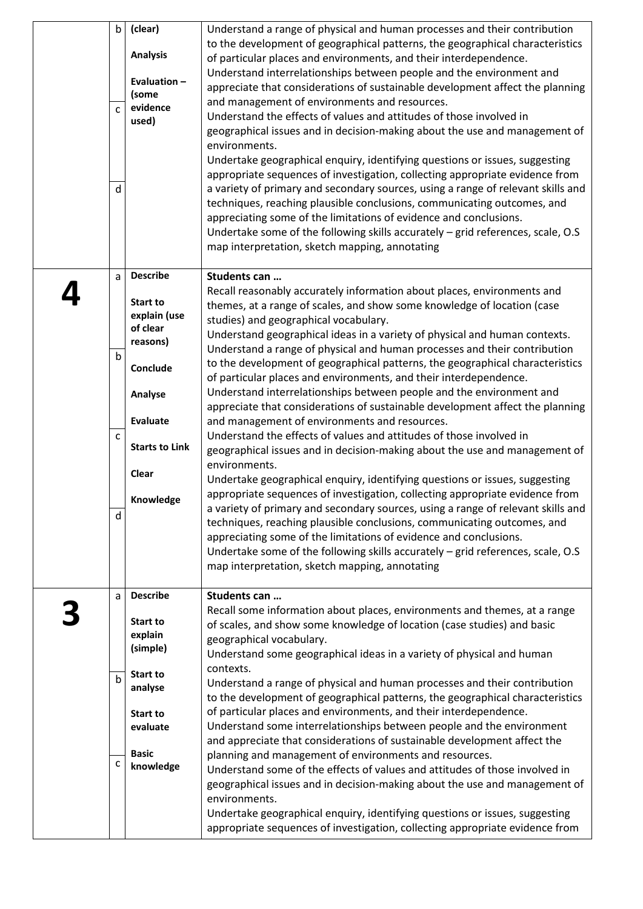| $\mathsf{b}$<br>$\mathsf{C}$<br>d | (clear)<br><b>Analysis</b><br>Evaluation-<br>(some<br>evidence<br>used)                                                                                      | Understand a range of physical and human processes and their contribution<br>to the development of geographical patterns, the geographical characteristics<br>of particular places and environments, and their interdependence.<br>Understand interrelationships between people and the environment and<br>appreciate that considerations of sustainable development affect the planning<br>and management of environments and resources.<br>Understand the effects of values and attitudes of those involved in<br>geographical issues and in decision-making about the use and management of<br>environments.<br>Undertake geographical enquiry, identifying questions or issues, suggesting<br>appropriate sequences of investigation, collecting appropriate evidence from<br>a variety of primary and secondary sources, using a range of relevant skills and<br>techniques, reaching plausible conclusions, communicating outcomes, and<br>appreciating some of the limitations of evidence and conclusions.<br>Undertake some of the following skills accurately - grid references, scale, O.S<br>map interpretation, sketch mapping, annotating                                                                                                                                                                                                                                                                                              |
|-----------------------------------|--------------------------------------------------------------------------------------------------------------------------------------------------------------|------------------------------------------------------------------------------------------------------------------------------------------------------------------------------------------------------------------------------------------------------------------------------------------------------------------------------------------------------------------------------------------------------------------------------------------------------------------------------------------------------------------------------------------------------------------------------------------------------------------------------------------------------------------------------------------------------------------------------------------------------------------------------------------------------------------------------------------------------------------------------------------------------------------------------------------------------------------------------------------------------------------------------------------------------------------------------------------------------------------------------------------------------------------------------------------------------------------------------------------------------------------------------------------------------------------------------------------------------------------------------------------------------------------------------------------------------|
| a<br>b<br>$\mathsf{C}$<br>d       | <b>Describe</b><br>Start to<br>explain (use<br>of clear<br>reasons)<br>Conclude<br>Analyse<br><b>Evaluate</b><br><b>Starts to Link</b><br>Clear<br>Knowledge | Students can<br>Recall reasonably accurately information about places, environments and<br>themes, at a range of scales, and show some knowledge of location (case<br>studies) and geographical vocabulary.<br>Understand geographical ideas in a variety of physical and human contexts.<br>Understand a range of physical and human processes and their contribution<br>to the development of geographical patterns, the geographical characteristics<br>of particular places and environments, and their interdependence.<br>Understand interrelationships between people and the environment and<br>appreciate that considerations of sustainable development affect the planning<br>and management of environments and resources.<br>Understand the effects of values and attitudes of those involved in<br>geographical issues and in decision-making about the use and management of<br>environments.<br>Undertake geographical enquiry, identifying questions or issues, suggesting<br>appropriate sequences of investigation, collecting appropriate evidence from<br>a variety of primary and secondary sources, using a range of relevant skills and<br>techniques, reaching plausible conclusions, communicating outcomes, and<br>appreciating some of the limitations of evidence and conclusions.<br>Undertake some of the following skills accurately - grid references, scale, O.S<br>map interpretation, sketch mapping, annotating |
| a<br>$\mathbf b$<br>$\mathsf{C}$  | <b>Describe</b><br>Start to<br>explain<br>(simple)<br>Start to<br>analyse<br>Start to<br>evaluate<br><b>Basic</b><br>knowledge                               | Students can<br>Recall some information about places, environments and themes, at a range<br>of scales, and show some knowledge of location (case studies) and basic<br>geographical vocabulary.<br>Understand some geographical ideas in a variety of physical and human<br>contexts.<br>Understand a range of physical and human processes and their contribution<br>to the development of geographical patterns, the geographical characteristics<br>of particular places and environments, and their interdependence.<br>Understand some interrelationships between people and the environment<br>and appreciate that considerations of sustainable development affect the<br>planning and management of environments and resources.<br>Understand some of the effects of values and attitudes of those involved in<br>geographical issues and in decision-making about the use and management of<br>environments.<br>Undertake geographical enquiry, identifying questions or issues, suggesting<br>appropriate sequences of investigation, collecting appropriate evidence from                                                                                                                                                                                                                                                                                                                                                                |